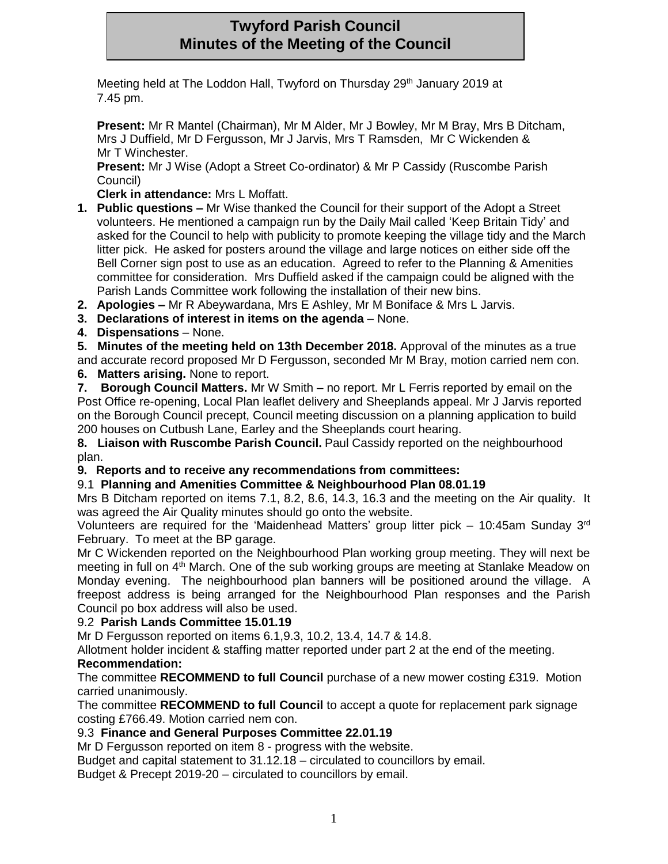# **Twyford Parish Council Minutes of the Meeting of the Council**

Meeting held at The Loddon Hall, Twyford on Thursday 29<sup>th</sup> January 2019 at 7.45 pm.

**Present:** Mr R Mantel (Chairman), Mr M Alder, Mr J Bowley, Mr M Bray, Mrs B Ditcham, Mrs J Duffield, Mr D Fergusson, Mr J Jarvis, Mrs T Ramsden, Mr C Wickenden & Mr T Winchester.

**Present:** Mr J Wise (Adopt a Street Co-ordinator) & Mr P Cassidy (Ruscombe Parish Council)

**Clerk in attendance:** Mrs L Moffatt.

- **1. Public questions –** Mr Wise thanked the Council for their support of the Adopt a Street volunteers. He mentioned a campaign run by the Daily Mail called 'Keep Britain Tidy' and asked for the Council to help with publicity to promote keeping the village tidy and the March litter pick. He asked for posters around the village and large notices on either side off the Bell Corner sign post to use as an education. Agreed to refer to the Planning & Amenities committee for consideration. Mrs Duffield asked if the campaign could be aligned with the Parish Lands Committee work following the installation of their new bins.
- **2. Apologies –** Mr R Abeywardana, Mrs E Ashley, Mr M Boniface & Mrs L Jarvis.
- **3. Declarations of interest in items on the agenda** None.
- **4. Dispensations** None.

**5. Minutes of the meeting held on 13th December 2018.** Approval of the minutes as a true and accurate record proposed Mr D Fergusson, seconded Mr M Bray, motion carried nem con. **6. Matters arising.** None to report.

**7. Borough Council Matters.** Mr W Smith – no report. Mr L Ferris reported by email on the Post Office re-opening, Local Plan leaflet delivery and Sheeplands appeal. Mr J Jarvis reported on the Borough Council precept, Council meeting discussion on a planning application to build 200 houses on Cutbush Lane, Earley and the Sheeplands court hearing.

**8. Liaison with Ruscombe Parish Council.** Paul Cassidy reported on the neighbourhood plan.

**9. Reports and to receive any recommendations from committees:**

# 9.1 **Planning and Amenities Committee & Neighbourhood Plan 08.01.19**

Mrs B Ditcham reported on items 7.1, 8.2, 8.6, 14.3, 16.3 and the meeting on the Air quality. It was agreed the Air Quality minutes should go onto the website.

Volunteers are required for the 'Maidenhead Matters' group litter pick – 10:45am Sunday 3rd February. To meet at the BP garage.

Mr C Wickenden reported on the Neighbourhood Plan working group meeting. They will next be meeting in full on 4<sup>th</sup> March. One of the sub working groups are meeting at Stanlake Meadow on Monday evening. The neighbourhood plan banners will be positioned around the village. A freepost address is being arranged for the Neighbourhood Plan responses and the Parish Council po box address will also be used.

#### 9.2 **Parish Lands Committee 15.01.19**

Mr D Fergusson reported on items 6.1,9.3, 10.2, 13.4, 14.7 & 14.8.

Allotment holder incident & staffing matter reported under part 2 at the end of the meeting.

# **Recommendation:**

The committee **RECOMMEND to full Council** purchase of a new mower costing £319. Motion carried unanimously.

The committee **RECOMMEND to full Council** to accept a quote for replacement park signage costing £766.49. Motion carried nem con.

# 9.3 **Finance and General Purposes Committee 22.01.19**

Mr D Fergusson reported on item 8 - progress with the website.

Budget and capital statement to 31.12.18 – circulated to councillors by email.

Budget & Precept 2019-20 – circulated to councillors by email.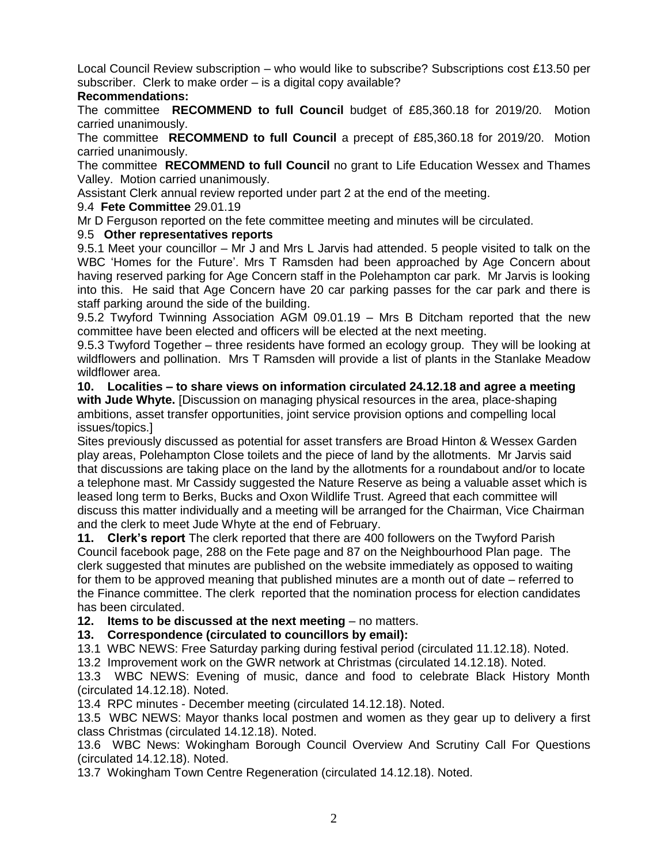Local Council Review subscription – who would like to subscribe? Subscriptions cost £13.50 per subscriber. Clerk to make order – is a digital copy available?

### **Recommendations:**

The committee **RECOMMEND to full Council** budget of £85,360.18 for 2019/20. Motion carried unanimously.

The committee **RECOMMEND to full Council** a precept of £85,360.18 for 2019/20. Motion carried unanimously.

The committee **RECOMMEND to full Council** no grant to Life Education Wessex and Thames Valley. Motion carried unanimously.

Assistant Clerk annual review reported under part 2 at the end of the meeting.

#### 9.4 **Fete Committee** 29.01.19

Mr D Ferguson reported on the fete committee meeting and minutes will be circulated.

### 9.5 **Other representatives reports**

9.5.1 Meet your councillor – Mr J and Mrs L Jarvis had attended. 5 people visited to talk on the WBC 'Homes for the Future'. Mrs T Ramsden had been approached by Age Concern about having reserved parking for Age Concern staff in the Polehampton car park. Mr Jarvis is looking into this. He said that Age Concern have 20 car parking passes for the car park and there is staff parking around the side of the building.

9.5.2 Twyford Twinning Association AGM 09.01.19 – Mrs B Ditcham reported that the new committee have been elected and officers will be elected at the next meeting.

9.5.3 Twyford Together – three residents have formed an ecology group. They will be looking at wildflowers and pollination. Mrs T Ramsden will provide a list of plants in the Stanlake Meadow wildflower area.

**10. Localities – to share views on information circulated 24.12.18 and agree a meeting with Jude Whyte.** [Discussion on managing physical resources in the area, place-shaping ambitions, asset transfer opportunities, joint service provision options and compelling local issues/topics.]

Sites previously discussed as potential for asset transfers are Broad Hinton & Wessex Garden play areas, Polehampton Close toilets and the piece of land by the allotments. Mr Jarvis said that discussions are taking place on the land by the allotments for a roundabout and/or to locate a telephone mast. Mr Cassidy suggested the Nature Reserve as being a valuable asset which is leased long term to Berks, Bucks and Oxon Wildlife Trust. Agreed that each committee will discuss this matter individually and a meeting will be arranged for the Chairman, Vice Chairman and the clerk to meet Jude Whyte at the end of February.

**11. Clerk's report** The clerk reported that there are 400 followers on the Twyford Parish Council facebook page, 288 on the Fete page and 87 on the Neighbourhood Plan page. The clerk suggested that minutes are published on the website immediately as opposed to waiting for them to be approved meaning that published minutes are a month out of date – referred to the Finance committee. The clerk reported that the nomination process for election candidates has been circulated.

**12. Items to be discussed at the next meeting** – no matters.

# **13. Correspondence (circulated to councillors by email):**

13.1 WBC NEWS: Free Saturday parking during festival period (circulated 11.12.18). Noted.

13.2 Improvement work on the GWR network at Christmas (circulated 14.12.18). Noted.

13.3 WBC NEWS: Evening of music, dance and food to celebrate Black History Month (circulated 14.12.18). Noted.

13.4 RPC minutes - December meeting (circulated 14.12.18). Noted.

13.5 WBC NEWS: Mayor thanks local postmen and women as they gear up to delivery a first class Christmas (circulated 14.12.18). Noted.

13.6 WBC News: Wokingham Borough Council Overview And Scrutiny Call For Questions (circulated 14.12.18). Noted.

13.7 Wokingham Town Centre Regeneration (circulated 14.12.18). Noted.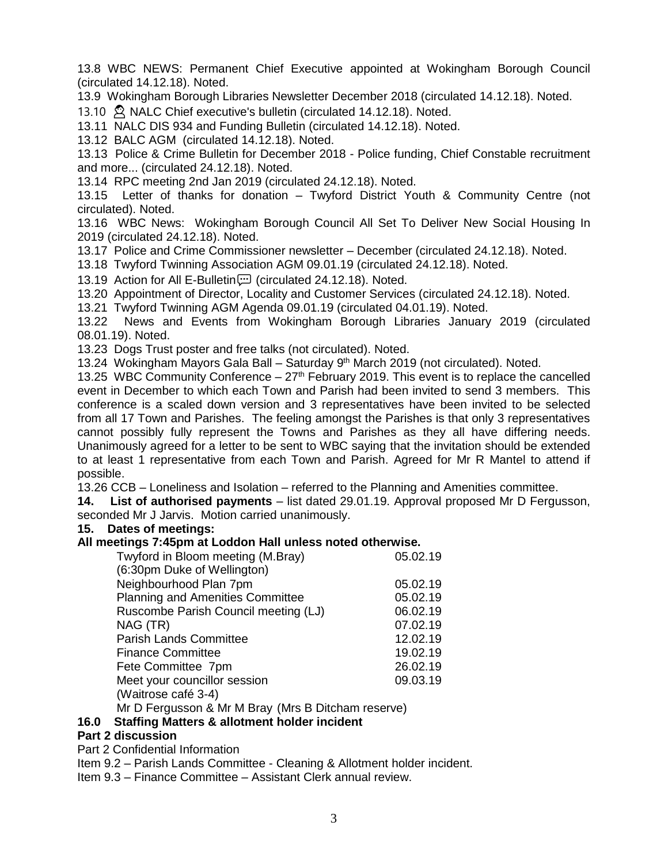13.8 WBC NEWS: Permanent Chief Executive appointed at Wokingham Borough Council (circulated 14.12.18). Noted.

13.9 Wokingham Borough Libraries Newsletter December 2018 (circulated 14.12.18). Noted.

13.10 <sup>2</sup> NALC Chief executive's bulletin (circulated 14.12.18). Noted.

13.11 NALC DIS 934 and Funding Bulletin (circulated 14.12.18). Noted.

13.12 BALC AGM (circulated 14.12.18). Noted.

13.13 Police & Crime Bulletin for December 2018 - Police funding, Chief Constable recruitment and more... (circulated 24.12.18). Noted.

13.14 RPC meeting 2nd Jan 2019 (circulated 24.12.18). Noted.

13.15 Letter of thanks for donation – Twyford District Youth & Community Centre (not circulated). Noted.

13.16 WBC News: Wokingham Borough Council All Set To Deliver New Social Housing In 2019 (circulated 24.12.18). Noted.

13.17 Police and Crime Commissioner newsletter – December (circulated 24.12.18). Noted.

13.18 Twyford Twinning Association AGM 09.01.19 (circulated 24.12.18). Noted.

13.19 Action for All E-Bulletin [1] (circulated 24.12.18). Noted.

13.20 Appointment of Director, Locality and Customer Services (circulated 24.12.18). Noted.

13.21 Twyford Twinning AGM Agenda 09.01.19 (circulated 04.01.19). Noted.

13.22 News and Events from Wokingham Borough Libraries January 2019 (circulated 08.01.19). Noted.

13.23 Dogs Trust poster and free talks (not circulated). Noted.

13.24 Wokingham Mayors Gala Ball - Saturday 9<sup>th</sup> March 2019 (not circulated). Noted.

13.25 WBC Community Conference  $-27<sup>th</sup>$  February 2019. This event is to replace the cancelled event in December to which each Town and Parish had been invited to send 3 members. This conference is a scaled down version and 3 representatives have been invited to be selected from all 17 Town and Parishes. The feeling amongst the Parishes is that only 3 representatives cannot possibly fully represent the Towns and Parishes as they all have differing needs. Unanimously agreed for a letter to be sent to WBC saying that the invitation should be extended to at least 1 representative from each Town and Parish. Agreed for Mr R Mantel to attend if possible.

13.26 CCB – Loneliness and Isolation – referred to the Planning and Amenities committee.

**14. List of authorised payments** – list dated 29.01.19. Approval proposed Mr D Fergusson, seconded Mr J Jarvis. Motion carried unanimously.

#### **15. Dates of meetings:**

#### **All meetings 7:45pm at Loddon Hall unless noted otherwise.**

| Twyford in Bloom meeting (M.Bray)                  | 05.02.19 |
|----------------------------------------------------|----------|
| (6:30pm Duke of Wellington)                        |          |
| Neighbourhood Plan 7pm                             | 05.02.19 |
| <b>Planning and Amenities Committee</b>            | 05.02.19 |
| Ruscombe Parish Council meeting (LJ)               | 06.02.19 |
| NAG (TR)                                           | 07.02.19 |
| <b>Parish Lands Committee</b>                      | 12.02.19 |
| <b>Finance Committee</b>                           | 19.02.19 |
| Fete Committee 7pm                                 | 26.02.19 |
| Meet your councillor session                       | 09.03.19 |
| (Waitrose café 3-4)                                |          |
| Mr D Fergusson & Mr M Bray (Mrs B Ditcham reserve) |          |

Mr D Fergusson & Mr M Bray (Mrs B Ditcham reserve)

### **16.0 Staffing Matters & allotment holder incident**

#### **Part 2 discussion**

Part 2 Confidential Information

Item 9.2 – Parish Lands Committee - Cleaning & Allotment holder incident.

Item 9.3 – Finance Committee – Assistant Clerk annual review.